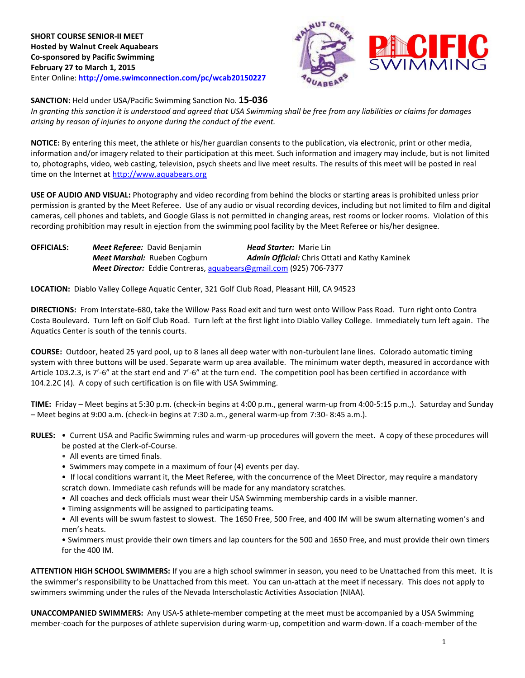

**SANCTION:** Held under USA/Pacific Swimming Sanction No. **15-036**

*In granting this sanction it is understood and agreed that USA Swimming shall be free from any liabilities or claims for damages arising by reason of injuries to anyone during the conduct of the event.*

**NOTICE:** By entering this meet, the athlete or his/her guardian consents to the publication, via electronic, print or other media, information and/or imagery related to their participation at this meet. Such information and imagery may include, but is not limited to, photographs, video, web casting, television, psych sheets and live meet results. The results of this meet will be posted in real time on the Internet at [http://www.aquabears.org](http://www.aquabears.org/)

**USE OF AUDIO AND VISUAL:** Photography and video recording from behind the blocks or starting areas is prohibited unless prior permission is granted by the Meet Referee. Use of any audio or visual recording devices, including but not limited to film and digital cameras, cell phones and tablets, and Google Glass is not permitted in changing areas, rest rooms or locker rooms. Violation of this recording prohibition may result in ejection from the swimming pool facility by the Meet Referee or his/her designee.

**OFFICIALS:** *Meet Referee:* David Benjamin *Head Starter:* Marie Lin *Meet Marshal:* Rueben Cogburn *Admin Official:* Chris Ottati and Kathy Kaminek *Meet Director:* Eddie Contreras[, aquabears@gmail.com](mailto:aquabears@gmail.com) (925) 706-7377

**LOCATION:** Diablo Valley College Aquatic Center, 321 Golf Club Road, Pleasant Hill, CA 94523

**DIRECTIONS:** From Interstate-680, take the Willow Pass Road exit and turn west onto Willow Pass Road. Turn right onto Contra Costa Boulevard. Turn left on Golf Club Road. Turn left at the first light into Diablo Valley College. Immediately turn left again. The Aquatics Center is south of the tennis courts.

**COURSE:** Outdoor, heated 25 yard pool, up to 8 lanes all deep water with non-turbulent lane lines. Colorado automatic timing system with three buttons will be used. Separate warm up area available. The minimum water depth, measured in accordance with Article 103.2.3, is 7'-6" at the start end and 7'-6" at the turn end. The competition pool has been certified in accordance with 104.2.2C (4). A copy of such certification is on file with USA Swimming.

**TIME:** Friday – Meet begins at 5:30 p.m. (check-in begins at 4:00 p.m., general warm-up from 4:00-5:15 p.m.,). Saturday and Sunday – Meet begins at 9:00 a.m. (check-in begins at 7:30 a.m., general warm-up from 7:30- 8:45 a.m.).

- **RULES:** Current USA and Pacific Swimming rules and warm-up procedures will govern the meet. A copy of these procedures will be posted at the Clerk-of-Course.
	- All events are timed finals.
	- Swimmers may compete in a maximum of four (4) events per day.
	- If local conditions warrant it, the Meet Referee, with the concurrence of the Meet Director, may require a mandatory scratch down. Immediate cash refunds will be made for any mandatory scratches.
	- All coaches and deck officials must wear their USA Swimming membership cards in a visible manner.
	- Timing assignments will be assigned to participating teams.
	- All events will be swum fastest to slowest. The 1650 Free, 500 Free, and 400 IM will be swum alternating women's and men's heats.

• Swimmers must provide their own timers and lap counters for the 500 and 1650 Free, and must provide their own timers for the 400 IM.

**ATTENTION HIGH SCHOOL SWIMMERS:** If you are a high school swimmer in season, you need to be Unattached from this meet. It is the swimmer's responsibility to be Unattached from this meet. You can un-attach at the meet if necessary. This does not apply to swimmers swimming under the rules of the Nevada Interscholastic Activities Association (NIAA).

**UNACCOMPANIED SWIMMERS:** Any USA-S athlete-member competing at the meet must be accompanied by a USA Swimming member-coach for the purposes of athlete supervision during warm-up, competition and warm-down. If a coach-member of the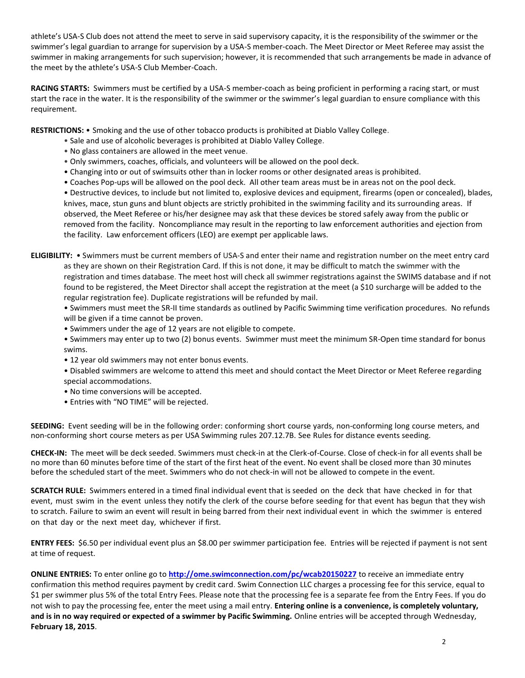athlete's USA-S Club does not attend the meet to serve in said supervisory capacity, it is the responsibility of the swimmer or the swimmer's legal guardian to arrange for supervision by a USA-S member-coach. The Meet Director or Meet Referee may assist the swimmer in making arrangements for such supervision; however, it is recommended that such arrangements be made in advance of the meet by the athlete's USA-S Club Member-Coach.

**RACING STARTS:** Swimmers must be certified by a USA-S member-coach as being proficient in performing a racing start, or must start the race in the water. It is the responsibility of the swimmer or the swimmer's legal guardian to ensure compliance with this requirement.

**RESTRICTIONS:** • Smoking and the use of other tobacco products is prohibited at Diablo Valley College.

- Sale and use of alcoholic beverages is prohibited at Diablo Valley College.
- No glass containers are allowed in the meet venue.
- Only swimmers, coaches, officials, and volunteers will be allowed on the pool deck.
- Changing into or out of swimsuits other than in locker rooms or other designated areas is prohibited.
- Coaches Pop-ups will be allowed on the pool deck. All other team areas must be in areas not on the pool deck.
- Destructive devices, to include but not limited to, explosive devices and equipment, firearms (open or concealed), blades, knives, mace, stun guns and blunt objects are strictly prohibited in the swimming facility and its surrounding areas. If observed, the Meet Referee or his/her designee may ask that these devices be stored safely away from the public or removed from the facility. Noncompliance may result in the reporting to law enforcement authorities and ejection from the facility. Law enforcement officers (LEO) are exempt per applicable laws.
- **ELIGIBILITY:**  Swimmers must be current members of USA-S and enter their name and registration number on the meet entry card as they are shown on their Registration Card. If this is not done, it may be difficult to match the swimmer with the registration and times database. The meet host will check all swimmer registrations against the SWIMS database and if not found to be registered, the Meet Director shall accept the registration at the meet (a \$10 surcharge will be added to the regular registration fee). Duplicate registrations will be refunded by mail.
	- Swimmers must meet the SR-II time standards as outlined by Pacific Swimming time verification procedures. No refunds will be given if a time cannot be proven.
	- Swimmers under the age of 12 years are not eligible to compete.
	- Swimmers may enter up to two (2) bonus events. Swimmer must meet the minimum SR-Open time standard for bonus swims.
	- 12 year old swimmers may not enter bonus events.
	- Disabled swimmers are welcome to attend this meet and should contact the Meet Director or Meet Referee regarding special accommodations.
	- No time conversions will be accepted.
	- Entries with "NO TIME" will be rejected.

**SEEDING:** Event seeding will be in the following order: conforming short course yards, non-conforming long course meters, and non-conforming short course meters as per USA Swimming rules 207.12.7B. See Rules for distance events seeding.

**CHECK-IN:** The meet will be deck seeded. Swimmers must check-in at the Clerk-of-Course. Close of check-in for all events shall be no more than 60 minutes before time of the start of the first heat of the event. No event shall be closed more than 30 minutes before the scheduled start of the meet. Swimmers who do not check-in will not be allowed to compete in the event.

**SCRATCH RULE:** Swimmers entered in a timed final individual event that is seeded on the deck that have checked in for that event, must swim in the event unless they notify the clerk of the course before seeding for that event has begun that they wish to scratch. Failure to swim an event will result in being barred from their next individual event in which the swimmer is entered on that day or the next meet day, whichever if first.

**ENTRY FEES:** \$6.50 per individual event plus an \$8.00 per swimmer participation fee. Entries will be rejected if payment is not sent at time of request.

**ONLINE ENTRIES:** To enter online go to **<http://ome.swimconnection.com/pc/wcab20150227>** to receive an immediate entry confirmation this method requires payment by credit card. Swim Connection LLC charges a processing fee for this service, equal to \$1 per swimmer plus 5% of the total Entry Fees. Please note that the processing fee is a separate fee from the Entry Fees. If you do not wish to pay the processing fee, enter the meet using a mail entry. **Entering online is a convenience, is completely voluntary, and is in no way required or expected of a swimmer by Pacific Swimming.** Online entries will be accepted through Wednesday, **February 18, 2015**.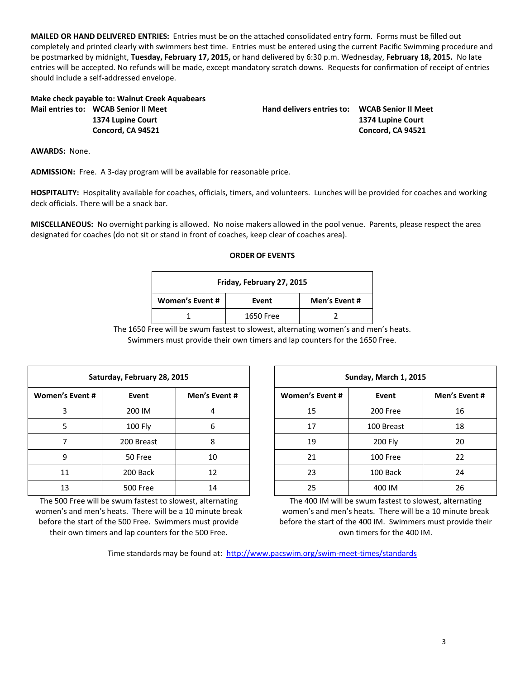**MAILED OR HAND DELIVERED ENTRIES:** Entries must be on the attached consolidated entry form. Forms must be filled out completely and printed clearly with swimmers best time. Entries must be entered using the current Pacific Swimming procedure and be postmarked by midnight, **Tuesday, February 17, 2015,** or hand delivered by 6:30 p.m. Wednesday, **February 18, 2015.** No late entries will be accepted. No refunds will be made, except mandatory scratch downs. Requests for confirmation of receipt of entries should include a self-addressed envelope.

**Make check payable to: Walnut Creek Aquabears Mail entries to: WCAB Senior II Meet Hand delivers entries to: WCAB Senior II Meet**

**1374 Lupine Court 1374 Lupine Court Concord, CA 94521 Concord, CA 94521**

**AWARDS:** None.

**ADMISSION:** Free. A 3-day program will be available for reasonable price.

**HOSPITALITY:** Hospitality available for coaches, officials, timers, and volunteers. Lunches will be provided for coaches and working deck officials. There will be a snack bar.

**MISCELLANEOUS:** No overnight parking is allowed. No noise makers allowed in the pool venue. Parents, please respect the area designated for coaches (do not sit or stand in front of coaches, keep clear of coaches area).

| ORDER OF EVENTS |  |  |  |  |  |  |  |
|-----------------|--|--|--|--|--|--|--|
|-----------------|--|--|--|--|--|--|--|

| Friday, February 27, 2015 |           |               |  |  |  |  |  |
|---------------------------|-----------|---------------|--|--|--|--|--|
| <b>Women's Event #</b>    | Event     | Men's Event # |  |  |  |  |  |
|                           | 1650 Free |               |  |  |  |  |  |

The 1650 Free will be swum fastest to slowest, alternating women's and men's heats.

Swimmers must provide their own timers and lap counters for the 1650 Free.

| Saturday, February 28, 2015 |                 |               |  |  |  |  |  |  |
|-----------------------------|-----------------|---------------|--|--|--|--|--|--|
| <b>Women's Event #</b>      | Event           | Men's Event # |  |  |  |  |  |  |
| 3                           | 200 IM          |               |  |  |  |  |  |  |
| 5                           | 100 Fly         | 6             |  |  |  |  |  |  |
|                             | 200 Breast      | 8             |  |  |  |  |  |  |
| 9                           | 50 Free         | 10            |  |  |  |  |  |  |
| 11                          | 200 Back        | 12            |  |  |  |  |  |  |
| 13                          | <b>500 Free</b> | 14            |  |  |  |  |  |  |

The 500 Free will be swum fastest to slowest, alternating women's and men's heats. There will be a 10 minute break before the start of the 500 Free. Swimmers must provide their own timers and lap counters for the 500 Free.

| Sunday, March 1, 2015  |            |               |  |  |  |  |  |  |
|------------------------|------------|---------------|--|--|--|--|--|--|
| <b>Women's Event #</b> | Event      | Men's Event # |  |  |  |  |  |  |
| 15                     | 200 Free   | 16            |  |  |  |  |  |  |
| 17                     | 100 Breast | 18            |  |  |  |  |  |  |
| 19                     | 200 Fly    | 20            |  |  |  |  |  |  |
| 21                     | 100 Free   | 22            |  |  |  |  |  |  |
| 23                     | 100 Back   | 24            |  |  |  |  |  |  |
| 25                     | 400 IM     | 26            |  |  |  |  |  |  |

The 400 IM will be swum fastest to slowest, alternating women's and men's heats. There will be a 10 minute break before the start of the 400 IM. Swimmers must provide their own timers for the 400 IM.

Time standards may be found at: <http://www.pacswim.org/swim-meet-times/standards>